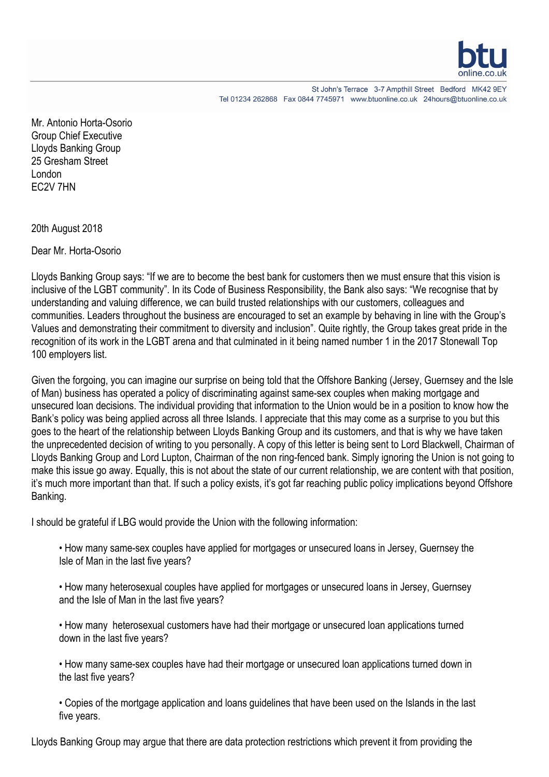

St John's Terrace 3-7 Ampthill Street Bedford MK42 9EY Tel 01234 262868 Fax 0844 7745971 www.btuonline.co.uk 24hours@btuonline.co.uk

Mr. Antonio Horta-Osorio Group Chief Executive Lloyds Banking Group 25 Gresham Street London EC2V 7HN

20th August 2018

Dear Mr. Horta-Osorio

Lloyds Banking Group says: "If we are to become the best bank for customers then we must ensure that this vision is inclusive of the LGBT community". In its Code of Business Responsibility, the Bank also says: "We recognise that by understanding and valuing difference, we can build trusted relationships with our customers, colleagues and communities. Leaders throughout the business are encouraged to set an example by behaving in line with the Group's Values and demonstrating their commitment to diversity and inclusion". Quite rightly, the Group takes great pride in the recognition of its work in the LGBT arena and that culminated in it being named number 1 in the 2017 Stonewall Top 100 employers list.

Given the forgoing, you can imagine our surprise on being told that the Offshore Banking (Jersey, Guernsey and the Isle of Man) business has operated a policy of discriminating against same-sex couples when making mortgage and unsecured loan decisions. The individual providing that information to the Union would be in a position to know how the Bank's policy was being applied across all three Islands. I appreciate that this may come as a surprise to you but this goes to the heart of the relationship between Lloyds Banking Group and its customers, and that is why we have taken the unprecedented decision of writing to you personally. A copy of this letter is being sent to Lord Blackwell, Chairman of Lloyds Banking Group and Lord Lupton, Chairman of the non ring-fenced bank. Simply ignoring the Union is not going to make this issue go away. Equally, this is not about the state of our current relationship, we are content with that position, it's much more important than that. If such a policy exists, it's got far reaching public policy implications beyond Offshore Banking.

I should be grateful if LBG would provide the Union with the following information:

• How many same-sex couples have applied for mortgages or unsecured loans in Jersey, Guernsey the Isle of Man in the last five years?

• How many heterosexual couples have applied for mortgages or unsecured loans in Jersey, Guernsey and the Isle of Man in the last five years?

• How many heterosexual customers have had their mortgage or unsecured loan applications turned down in the last five years?

• How many same-sex couples have had their mortgage or unsecured loan applications turned down in the last five years?

• Copies of the mortgage application and loans guidelines that have been used on the Islands in the last five years.

Lloyds Banking Group may argue that there are data protection restrictions which prevent it from providing the